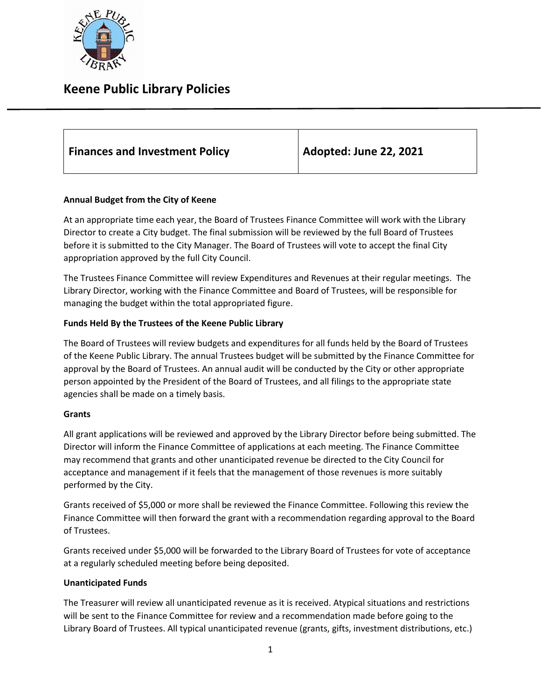

| Adopted: June 22, 2021<br><b>Finances and Investment Policy</b> |
|-----------------------------------------------------------------|
|-----------------------------------------------------------------|

## **Annual Budget from the City of Keene**

At an appropriate time each year, the Board of Trustees Finance Committee will work with the Library Director to create a City budget. The final submission will be reviewed by the full Board of Trustees before it is submitted to the City Manager. The Board of Trustees will vote to accept the final City appropriation approved by the full City Council.

The Trustees Finance Committee will review Expenditures and Revenues at their regular meetings. The Library Director, working with the Finance Committee and Board of Trustees, will be responsible for managing the budget within the total appropriated figure.

## **Funds Held By the Trustees of the Keene Public Library**

The Board of Trustees will review budgets and expenditures for all funds held by the Board of Trustees of the Keene Public Library. The annual Trustees budget will be submitted by the Finance Committee for approval by the Board of Trustees. An annual audit will be conducted by the City or other appropriate person appointed by the President of the Board of Trustees, and all filings to the appropriate state agencies shall be made on a timely basis.

## **Grants**

All grant applications will be reviewed and approved by the Library Director before being submitted. The Director will inform the Finance Committee of applications at each meeting. The Finance Committee may recommend that grants and other unanticipated revenue be directed to the City Council for acceptance and management if it feels that the management of those revenues is more suitably performed by the City.

Grants received of \$5,000 or more shall be reviewed the Finance Committee. Following this review the Finance Committee will then forward the grant with a recommendation regarding approval to the Board of Trustees.

Grants received under \$5,000 will be forwarded to the Library Board of Trustees for vote of acceptance at a regularly scheduled meeting before being deposited.

## **Unanticipated Funds**

The Treasurer will review all unanticipated revenue as it is received. Atypical situations and restrictions will be sent to the Finance Committee for review and a recommendation made before going to the Library Board of Trustees. All typical unanticipated revenue (grants, gifts, investment distributions, etc.)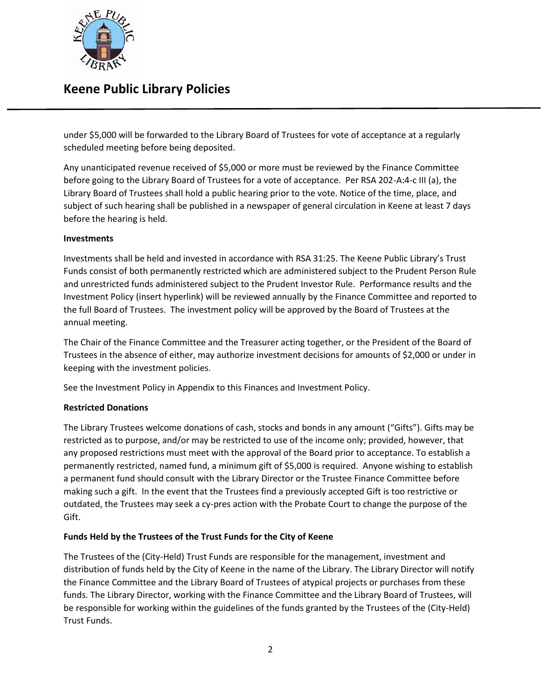

under \$5,000 will be forwarded to the Library Board of Trustees for vote of acceptance at a regularly scheduled meeting before being deposited.

Any unanticipated revenue received of \$5,000 or more must be reviewed by the Finance Committee before going to the Library Board of Trustees for a vote of acceptance. Per RSA 202-A:4-c III (a), the Library Board of Trustees shall hold a public hearing prior to the vote. Notice of the time, place, and subject of such hearing shall be published in a newspaper of general circulation in Keene at least 7 days before the hearing is held.

### **Investments**

Investments shall be held and invested in accordance with RSA 31:25. The Keene Public Library's Trust Funds consist of both permanently restricted which are administered subject to the Prudent Person Rule and unrestricted funds administered subject to the Prudent Investor Rule. Performance results and the Investment Policy (insert hyperlink) will be reviewed annually by the Finance Committee and reported to the full Board of Trustees. The investment policy will be approved by the Board of Trustees at the annual meeting.

The Chair of the Finance Committee and the Treasurer acting together, or the President of the Board of Trustees in the absence of either, may authorize investment decisions for amounts of \$2,000 or under in keeping with the investment policies.

See the Investment Policy in Appendix to this Finances and Investment Policy.

## **Restricted Donations**

The Library Trustees welcome donations of cash, stocks and bonds in any amount ("Gifts"). Gifts may be restricted as to purpose, and/or may be restricted to use of the income only; provided, however, that any proposed restrictions must meet with the approval of the Board prior to acceptance. To establish a permanently restricted, named fund, a minimum gift of \$5,000 is required. Anyone wishing to establish a permanent fund should consult with the Library Director or the Trustee Finance Committee before making such a gift. In the event that the Trustees find a previously accepted Gift is too restrictive or outdated, the Trustees may seek a cy-pres action with the Probate Court to change the purpose of the Gift.

## **Funds Held by the Trustees of the Trust Funds for the City of Keene**

The Trustees of the (City-Held) Trust Funds are responsible for the management, investment and distribution of funds held by the City of Keene in the name of the Library. The Library Director will notify the Finance Committee and the Library Board of Trustees of atypical projects or purchases from these funds. The Library Director, working with the Finance Committee and the Library Board of Trustees, will be responsible for working within the guidelines of the funds granted by the Trustees of the (City-Held) Trust Funds.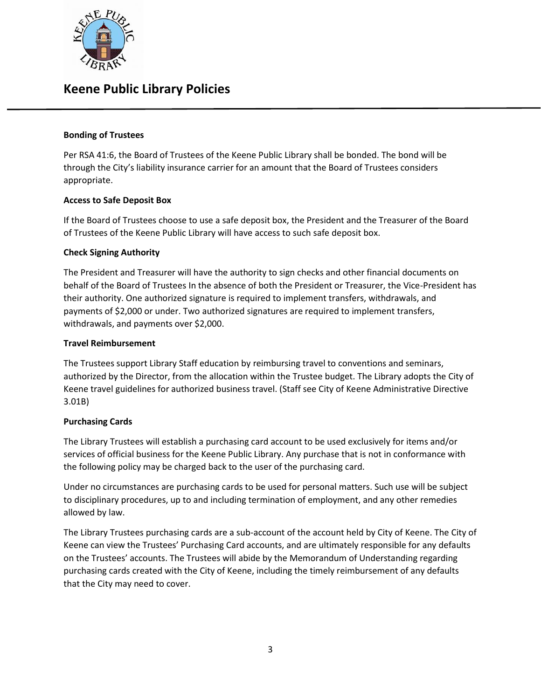

### **Bonding of Trustees**

Per RSA 41:6, the Board of Trustees of the Keene Public Library shall be bonded. The bond will be through the City's liability insurance carrier for an amount that the Board of Trustees considers appropriate.

### **Access to Safe Deposit Box**

If the Board of Trustees choose to use a safe deposit box, the President and the Treasurer of the Board of Trustees of the Keene Public Library will have access to such safe deposit box.

### **Check Signing Authority**

The President and Treasurer will have the authority to sign checks and other financial documents on behalf of the Board of Trustees In the absence of both the President or Treasurer, the Vice-President has their authority. One authorized signature is required to implement transfers, withdrawals, and payments of \$2,000 or under. Two authorized signatures are required to implement transfers, withdrawals, and payments over \$2,000.

#### **Travel Reimbursement**

The Trustees support Library Staff education by reimbursing travel to conventions and seminars, authorized by the Director, from the allocation within the Trustee budget. The Library adopts the City of Keene travel guidelines for authorized business travel. (Staff see City of Keene Administrative Directive 3.01B)

## **Purchasing Cards**

The Library Trustees will establish a purchasing card account to be used exclusively for items and/or services of official business for the Keene Public Library. Any purchase that is not in conformance with the following policy may be charged back to the user of the purchasing card.

Under no circumstances are purchasing cards to be used for personal matters. Such use will be subject to disciplinary procedures, up to and including termination of employment, and any other remedies allowed by law.

The Library Trustees purchasing cards are a sub-account of the account held by City of Keene. The City of Keene can view the Trustees' Purchasing Card accounts, and are ultimately responsible for any defaults on the Trustees' accounts. The Trustees will abide by the Memorandum of Understanding regarding purchasing cards created with the City of Keene, including the timely reimbursement of any defaults that the City may need to cover.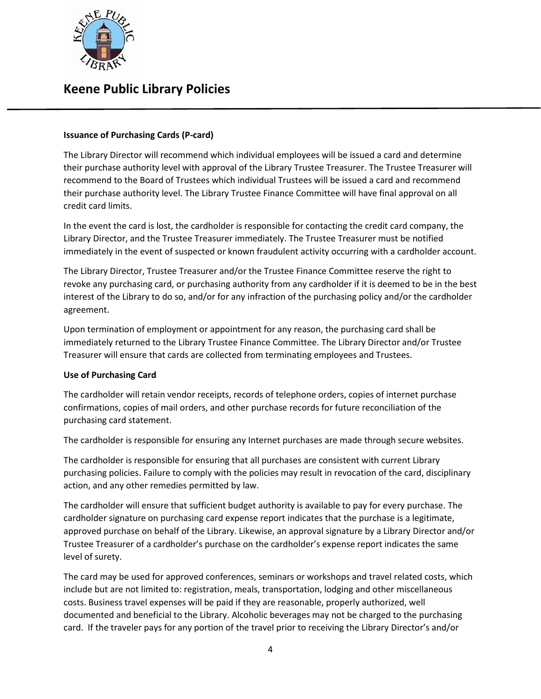

### **Issuance of Purchasing Cards (P-card)**

The Library Director will recommend which individual employees will be issued a card and determine their purchase authority level with approval of the Library Trustee Treasurer. The Trustee Treasurer will recommend to the Board of Trustees which individual Trustees will be issued a card and recommend their purchase authority level. The Library Trustee Finance Committee will have final approval on all credit card limits.

In the event the card is lost, the cardholder is responsible for contacting the credit card company, the Library Director, and the Trustee Treasurer immediately. The Trustee Treasurer must be notified immediately in the event of suspected or known fraudulent activity occurring with a cardholder account.

The Library Director, Trustee Treasurer and/or the Trustee Finance Committee reserve the right to revoke any purchasing card, or purchasing authority from any cardholder if it is deemed to be in the best interest of the Library to do so, and/or for any infraction of the purchasing policy and/or the cardholder agreement.

Upon termination of employment or appointment for any reason, the purchasing card shall be immediately returned to the Library Trustee Finance Committee. The Library Director and/or Trustee Treasurer will ensure that cards are collected from terminating employees and Trustees.

#### **Use of Purchasing Card**

The cardholder will retain vendor receipts, records of telephone orders, copies of internet purchase confirmations, copies of mail orders, and other purchase records for future reconciliation of the purchasing card statement.

The cardholder is responsible for ensuring any Internet purchases are made through secure websites.

The cardholder is responsible for ensuring that all purchases are consistent with current Library purchasing policies. Failure to comply with the policies may result in revocation of the card, disciplinary action, and any other remedies permitted by law.

The cardholder will ensure that sufficient budget authority is available to pay for every purchase. The cardholder signature on purchasing card expense report indicates that the purchase is a legitimate, approved purchase on behalf of the Library. Likewise, an approval signature by a Library Director and/or Trustee Treasurer of a cardholder's purchase on the cardholder's expense report indicates the same level of surety.

The card may be used for approved conferences, seminars or workshops and travel related costs, which include but are not limited to: registration, meals, transportation, lodging and other miscellaneous costs. Business travel expenses will be paid if they are reasonable, properly authorized, well documented and beneficial to the Library. Alcoholic beverages may not be charged to the purchasing card. If the traveler pays for any portion of the travel prior to receiving the Library Director's and/or